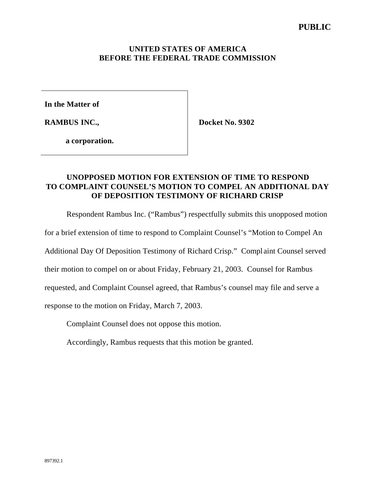### **UNITED STATES OF AMERICA BEFORE THE FEDERAL TRADE COMMISSION**

**In the Matter of**

**RAMBUS INC.,**

**Docket No. 9302**

**a corporation.**

# **UNOPPOSED MOTION FOR EXTENSION OF TIME TO RESPOND TO COMPLAINT COUNSEL'S MOTION TO COMPEL AN ADDITIONAL DAY OF DEPOSITION TESTIMONY OF RICHARD CRISP**

Respondent Rambus Inc. ("Rambus") respectfully submits this unopposed motion

for a brief extension of time to respond to Complaint Counsel's "Motion to Compel An

Additional Day Of Deposition Testimony of Richard Crisp." Compl aint Counsel served

their motion to compel on or about Friday, February 21, 2003. Counsel for Rambus

requested, and Complaint Counsel agreed, that Rambus's counsel may file and serve a

response to the motion on Friday, March 7, 2003.

Complaint Counsel does not oppose this motion.

Accordingly, Rambus requests that this motion be granted.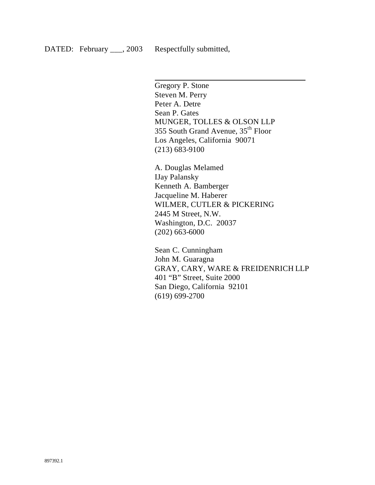$\overline{\phantom{a}}$ 

Gregory P. Stone Steven M. Perry Peter A. Detre Sean P. Gates MUNGER, TOLLES & OLSON LLP 355 South Grand Avenue, 35th Floor Los Angeles, California 90071 (213) 683-9100

A. Douglas Melamed IJay Palansky Kenneth A. Bamberger Jacqueline M. Haberer WILMER, CUTLER & PICKERING 2445 M Street, N.W. Washington, D.C. 20037 (202) 663-6000

Sean C. Cunningham John M. Guaragna GRAY, CARY, WARE & FREIDENRICH LLP 401 "B" Street, Suite 2000 San Diego, California 92101 (619) 699-2700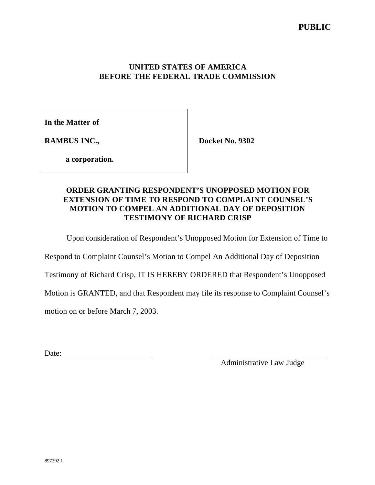### **UNITED STATES OF AMERICA BEFORE THE FEDERAL TRADE COMMISSION**

**In the Matter of**

**RAMBUS INC.,**

**Docket No. 9302**

**a corporation.**

# **ORDER GRANTING RESPONDENT'S UNOPPOSED MOTION FOR EXTENSION OF TIME TO RESPOND TO COMPLAINT COUNSEL'S MOTION TO COMPEL AN ADDITIONAL DAY OF DEPOSITION TESTIMONY OF RICHARD CRISP**

Upon consideration of Respondent's Unopposed Motion for Extension of Time to

Respond to Complaint Counsel's Motion to Compel An Additional Day of Deposition

Testimony of Richard Crisp, IT IS HEREBY ORDERED that Respondent's Unopposed

Motion is GRANTED, and that Respondent may file its response to Complaint Counsel's

motion on or before March 7, 2003.

Date: when the contract of the contract of the contract of the contract of the contract of the contract of the contract of the contract of the contract of the contract of the contract of the contract of the contract of the

Administrative Law Judge